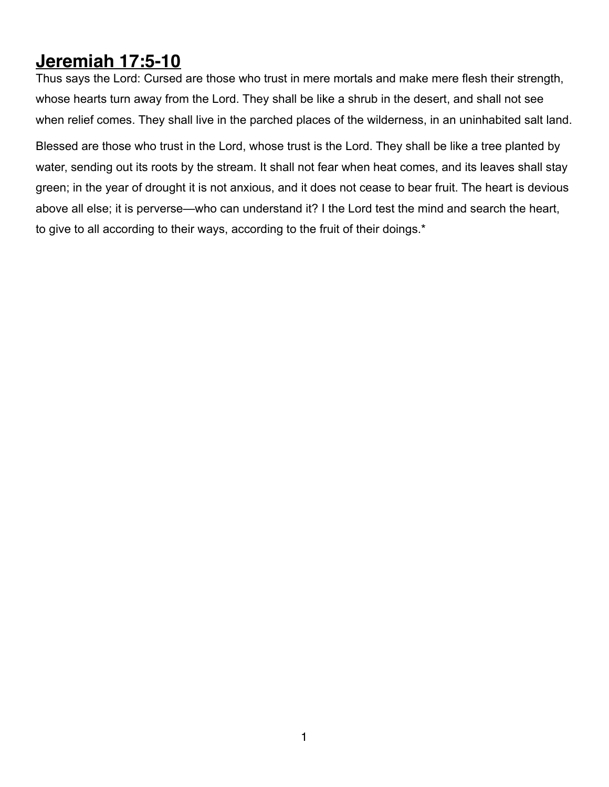## **Jeremiah 17:5-10**

Thus says the Lord: Cursed are those who trust in mere mortals and make mere flesh their strength, whose hearts turn away from the Lord. They shall be like a shrub in the desert, and shall not see when relief comes. They shall live in the parched places of the wilderness, in an uninhabited salt land.

Blessed are those who trust in the Lord, whose trust is the Lord. They shall be like a tree planted by water, sending out its roots by the stream. It shall not fear when heat comes, and its leaves shall stay green; in the year of drought it is not anxious, and it does not cease to bear fruit. The heart is devious above all else; it is perverse—who can understand it? I the Lord test the mind and search the heart, to give to all according to their ways, according to the fruit of their doings.\*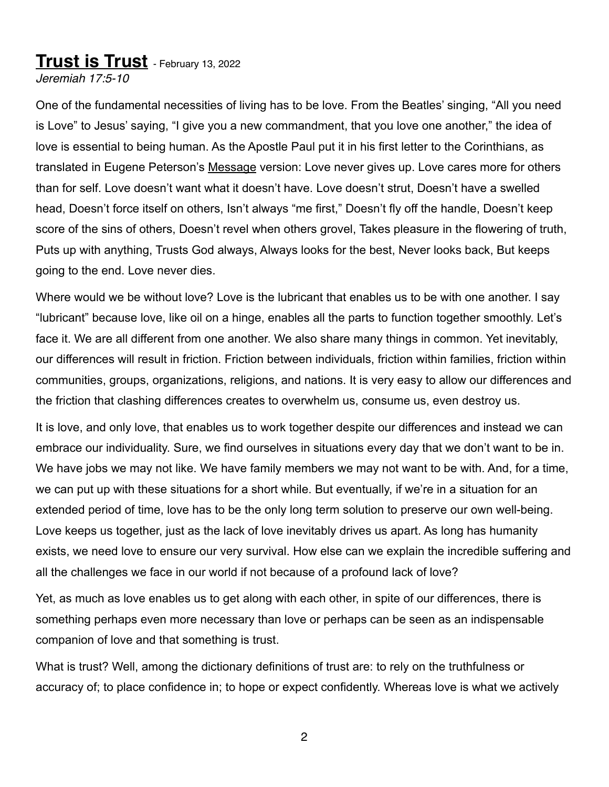## **Trust is Trust** - February 13, 2022

*Jeremiah 17:5-10*

One of the fundamental necessities of living has to be love. From the Beatles' singing, "All you need is Love" to Jesus' saying, "I give you a new commandment, that you love one another," the idea of love is essential to being human. As the Apostle Paul put it in his first letter to the Corinthians, as translated in Eugene Peterson's Message version: Love never gives up. Love cares more for others than for self. Love doesn't want what it doesn't have. Love doesn't strut, Doesn't have a swelled head, Doesn't force itself on others, Isn't always "me first," Doesn't fly off the handle, Doesn't keep score of the sins of others, Doesn't revel when others grovel, Takes pleasure in the flowering of truth, Puts up with anything, Trusts God always, Always looks for the best, Never looks back, But keeps going to the end. Love never dies.

Where would we be without love? Love is the lubricant that enables us to be with one another. I say "lubricant" because love, like oil on a hinge, enables all the parts to function together smoothly. Let's face it. We are all different from one another. We also share many things in common. Yet inevitably, our differences will result in friction. Friction between individuals, friction within families, friction within communities, groups, organizations, religions, and nations. It is very easy to allow our differences and the friction that clashing differences creates to overwhelm us, consume us, even destroy us.

It is love, and only love, that enables us to work together despite our differences and instead we can embrace our individuality. Sure, we find ourselves in situations every day that we don't want to be in. We have jobs we may not like. We have family members we may not want to be with. And, for a time, we can put up with these situations for a short while. But eventually, if we're in a situation for an extended period of time, love has to be the only long term solution to preserve our own well-being. Love keeps us together, just as the lack of love inevitably drives us apart. As long has humanity exists, we need love to ensure our very survival. How else can we explain the incredible suffering and all the challenges we face in our world if not because of a profound lack of love?

Yet, as much as love enables us to get along with each other, in spite of our differences, there is something perhaps even more necessary than love or perhaps can be seen as an indispensable companion of love and that something is trust.

What is trust? Well, among the dictionary definitions of trust are: to rely on the truthfulness or accuracy of; to place confidence in; to hope or expect confidently. Whereas love is what we actively

2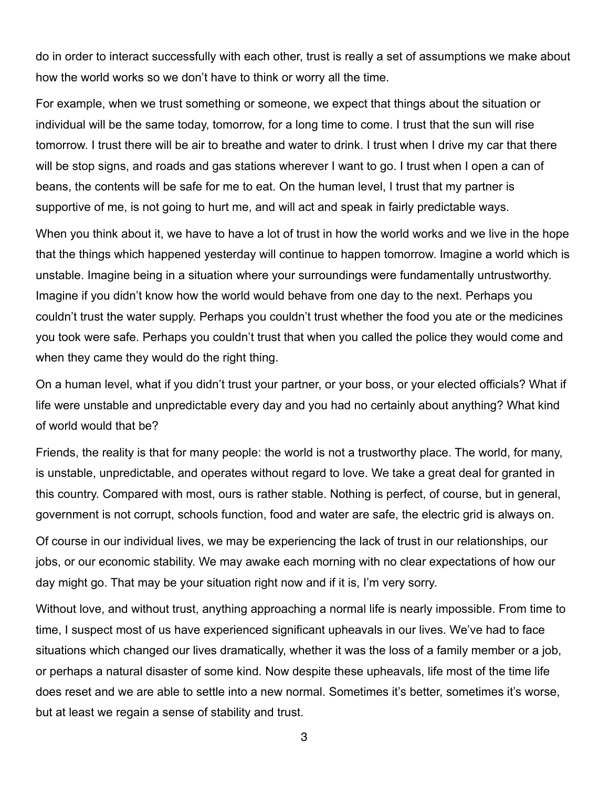do in order to interact successfully with each other, trust is really a set of assumptions we make about how the world works so we don't have to think or worry all the time.

For example, when we trust something or someone, we expect that things about the situation or individual will be the same today, tomorrow, for a long time to come. I trust that the sun will rise tomorrow. I trust there will be air to breathe and water to drink. I trust when I drive my car that there will be stop signs, and roads and gas stations wherever I want to go. I trust when I open a can of beans, the contents will be safe for me to eat. On the human level, I trust that my partner is supportive of me, is not going to hurt me, and will act and speak in fairly predictable ways.

When you think about it, we have to have a lot of trust in how the world works and we live in the hope that the things which happened yesterday will continue to happen tomorrow. Imagine a world which is unstable. Imagine being in a situation where your surroundings were fundamentally untrustworthy. Imagine if you didn't know how the world would behave from one day to the next. Perhaps you couldn't trust the water supply. Perhaps you couldn't trust whether the food you ate or the medicines you took were safe. Perhaps you couldn't trust that when you called the police they would come and when they came they would do the right thing.

On a human level, what if you didn't trust your partner, or your boss, or your elected officials? What if life were unstable and unpredictable every day and you had no certainly about anything? What kind of world would that be?

Friends, the reality is that for many people: the world is not a trustworthy place. The world, for many, is unstable, unpredictable, and operates without regard to love. We take a great deal for granted in this country. Compared with most, ours is rather stable. Nothing is perfect, of course, but in general, government is not corrupt, schools function, food and water are safe, the electric grid is always on.

Of course in our individual lives, we may be experiencing the lack of trust in our relationships, our jobs, or our economic stability. We may awake each morning with no clear expectations of how our day might go. That may be your situation right now and if it is, I'm very sorry.

Without love, and without trust, anything approaching a normal life is nearly impossible. From time to time, I suspect most of us have experienced significant upheavals in our lives. We've had to face situations which changed our lives dramatically, whether it was the loss of a family member or a job, or perhaps a natural disaster of some kind. Now despite these upheavals, life most of the time life does reset and we are able to settle into a new normal. Sometimes it's better, sometimes it's worse, but at least we regain a sense of stability and trust.

3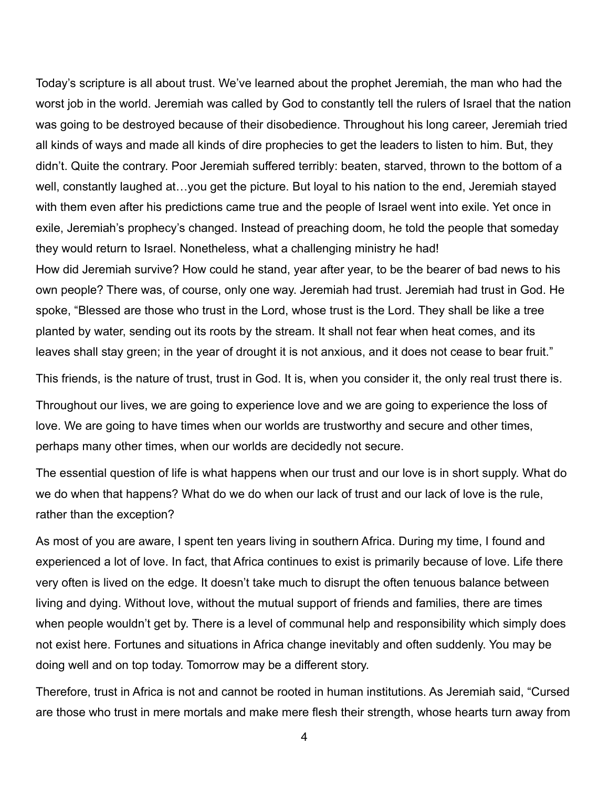Today's scripture is all about trust. We've learned about the prophet Jeremiah, the man who had the worst job in the world. Jeremiah was called by God to constantly tell the rulers of Israel that the nation was going to be destroyed because of their disobedience. Throughout his long career, Jeremiah tried all kinds of ways and made all kinds of dire prophecies to get the leaders to listen to him. But, they didn't. Quite the contrary. Poor Jeremiah suffered terribly: beaten, starved, thrown to the bottom of a well, constantly laughed at…you get the picture. But loyal to his nation to the end, Jeremiah stayed with them even after his predictions came true and the people of Israel went into exile. Yet once in exile, Jeremiah's prophecy's changed. Instead of preaching doom, he told the people that someday they would return to Israel. Nonetheless, what a challenging ministry he had! How did Jeremiah survive? How could he stand, year after year, to be the bearer of bad news to his own people? There was, of course, only one way. Jeremiah had trust. Jeremiah had trust in God. He spoke, "Blessed are those who trust in the Lord, whose trust is the Lord. They shall be like a tree planted by water, sending out its roots by the stream. It shall not fear when heat comes, and its leaves shall stay green; in the year of drought it is not anxious, and it does not cease to bear fruit."

This friends, is the nature of trust, trust in God. It is, when you consider it, the only real trust there is.

Throughout our lives, we are going to experience love and we are going to experience the loss of love. We are going to have times when our worlds are trustworthy and secure and other times, perhaps many other times, when our worlds are decidedly not secure.

The essential question of life is what happens when our trust and our love is in short supply. What do we do when that happens? What do we do when our lack of trust and our lack of love is the rule, rather than the exception?

As most of you are aware, I spent ten years living in southern Africa. During my time, I found and experienced a lot of love. In fact, that Africa continues to exist is primarily because of love. Life there very often is lived on the edge. It doesn't take much to disrupt the often tenuous balance between living and dying. Without love, without the mutual support of friends and families, there are times when people wouldn't get by. There is a level of communal help and responsibility which simply does not exist here. Fortunes and situations in Africa change inevitably and often suddenly. You may be doing well and on top today. Tomorrow may be a different story.

Therefore, trust in Africa is not and cannot be rooted in human institutions. As Jeremiah said, "Cursed are those who trust in mere mortals and make mere flesh their strength, whose hearts turn away from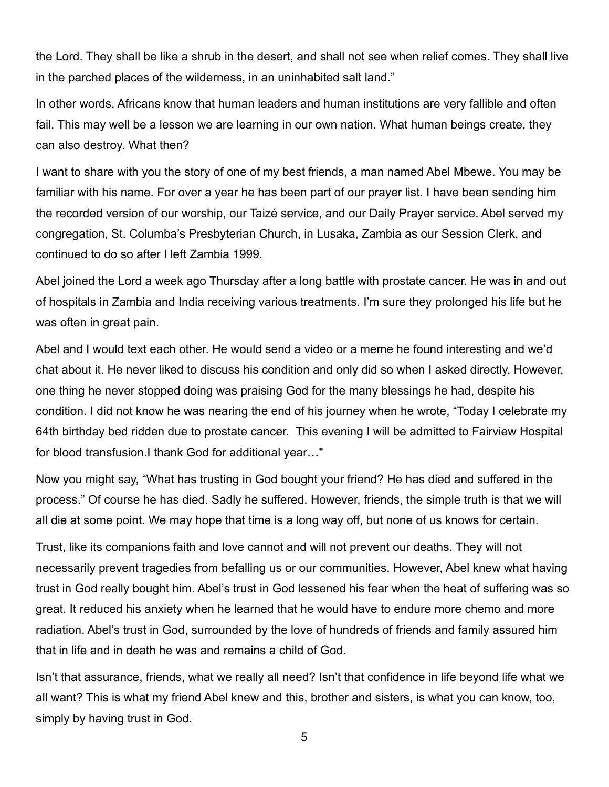the Lord. They shall be like a shrub in the desert, and shall not see when relief comes. They shall live in the parched places of the wilderness, in an uninhabited salt land."

In other words, Africans know that human leaders and human institutions are very fallible and often fail. This may well be a lesson we are learning in our own nation. What human beings create, they can also destroy. What then?

I want to share with you the story of one of my best friends, a man named Abel Mbewe. You may be familiar with his name. For over a year he has been part of our prayer list. I have been sending him the recorded version of our worship, our Taizé service, and our Daily Prayer service. Abel served my congregation, St. Columba's Presbyterian Church, in Lusaka, Zambia as our Session Clerk, and continued to do so after I left Zambia 1999.

Abel joined the Lord a week ago Thursday after a long battle with prostate cancer. He was in and out of hospitals in Zambia and India receiving various treatments. I'm sure they prolonged his life but he was often in great pain.

Abel and I would text each other. He would send a video or a meme he found interesting and we'd chat about it. He never liked to discuss his condition and only did so when I asked directly. However, one thing he never stopped doing was praising God for the many blessings he had, despite his condition. I did not know he was nearing the end of his journey when he wrote, "Today I celebrate my 64th birthday bed ridden due to prostate cancer. This evening I will be admitted to Fairview Hospital for blood transfusion.I thank God for additional year…"

Now you might say, "What has trusting in God bought your friend? He has died and suffered in the process." Of course he has died. Sadly he suffered. However, friends, the simple truth is that we will all die at some point. We may hope that time is a long way off, but none of us knows for certain.

Trust, like its companions faith and love cannot and will not prevent our deaths. They will not necessarily prevent tragedies from befalling us or our communities. However, Abel knew what having trust in God really bought him. Abel's trust in God lessened his fear when the heat of suffering was so great. It reduced his anxiety when he learned that he would have to endure more chemo and more radiation. Abel's trust in God, surrounded by the love of hundreds of friends and family assured him that in life and in death he was and remains a child of God.

Isn't that assurance, friends, what we really all need? Isn't that confidence in life beyond life what we all want? This is what my friend Abel knew and this, brother and sisters, is what you can know, too, simply by having trust in God.

5